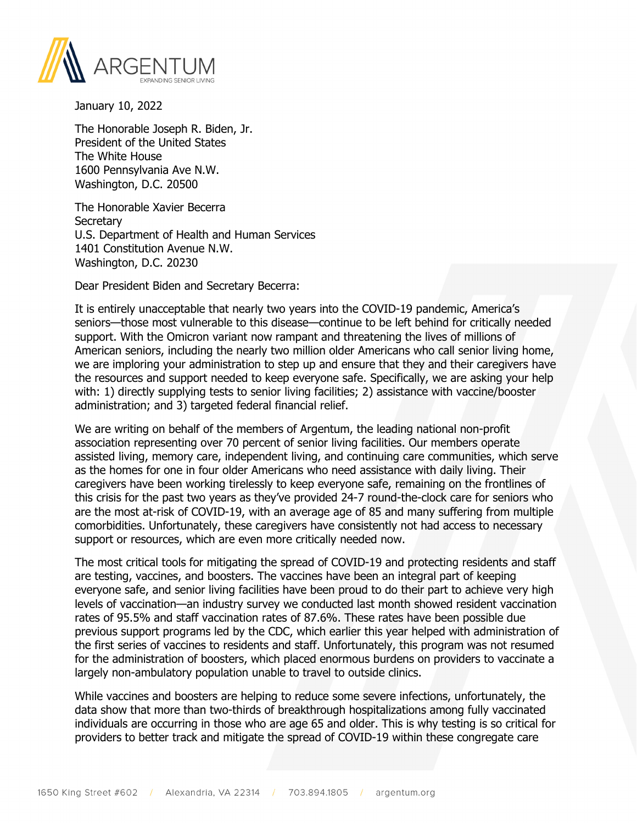

January 10, 2022

The Honorable Joseph R. Biden, Jr. President of the United States The White House 1600 Pennsylvania Ave N.W. Washington, D.C. 20500

The Honorable Xavier Becerra **Secretary** U.S. Department of Health and Human Services 1401 Constitution Avenue N.W. Washington, D.C. 20230

Dear President Biden and Secretary Becerra:

It is entirely unacceptable that nearly two years into the COVID-19 pandemic, America's seniors—those most vulnerable to this disease—continue to be left behind for critically needed support. With the Omicron variant now rampant and threatening the lives of millions of American seniors, including the nearly two million older Americans who call senior living home, we are imploring your administration to step up and ensure that they and their caregivers have the resources and support needed to keep everyone safe. Specifically, we are asking your help with: 1) directly supplying tests to senior living facilities; 2) assistance with vaccine/booster administration; and 3) targeted federal financial relief.

We are writing on behalf of the members of Argentum, the leading national non-profit association representing over 70 percent of senior living facilities. Our members operate assisted living, memory care, independent living, and continuing care communities, which serve as the homes for one in four older Americans who need assistance with daily living. Their caregivers have been working tirelessly to keep everyone safe, remaining on the frontlines of this crisis for the past two years as they've provided 24-7 round-the-clock care for seniors who are the most at-risk of COVID-19, with an average age of 85 and many suffering from multiple comorbidities. Unfortunately, these caregivers have consistently not had access to necessary support or resources, which are even more critically needed now.

The most critical tools for mitigating the spread of COVID-19 and protecting residents and staff are testing, vaccines, and boosters. The vaccines have been an integral part of keeping everyone safe, and senior living facilities have been proud to do their part to achieve very high levels of vaccination—an industry survey we conducted last month showed resident vaccination rates of 95.5% and staff vaccination rates of 87.6%. These rates have been possible due previous support programs led by the CDC, which earlier this year helped with administration of the first series of vaccines to residents and staff. Unfortunately, this program was not resumed for the administration of boosters, which placed enormous burdens on providers to vaccinate a largely non-ambulatory population unable to travel to outside clinics.

While vaccines and boosters are helping to reduce some severe infections, unfortunately, the data show that more than two-thirds of breakthrough hospitalizations among fully vaccinated individuals are occurring in those who are age 65 and older. This is why testing is so critical for providers to better track and mitigate the spread of COVID-19 within these congregate care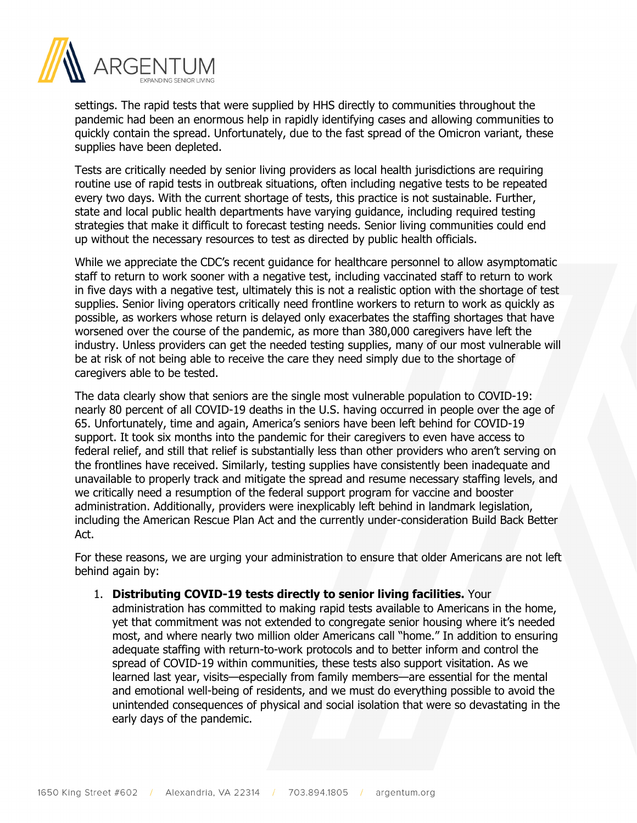

settings. The rapid tests that were supplied by HHS directly to communities throughout the pandemic had been an enormous help in rapidly identifying cases and allowing communities to quickly contain the spread. Unfortunately, due to the fast spread of the Omicron variant, these supplies have been depleted.

Tests are critically needed by senior living providers as local health jurisdictions are requiring routine use of rapid tests in outbreak situations, often including negative tests to be repeated every two days. With the current shortage of tests, this practice is not sustainable. Further, state and local public health departments have varying guidance, including required testing strategies that make it difficult to forecast testing needs. Senior living communities could end up without the necessary resources to test as directed by public health officials.

While we appreciate the CDC's recent quidance for healthcare personnel to allow asymptomatic staff to return to work sooner with a negative test, including vaccinated staff to return to work in five days with a negative test, ultimately this is not a realistic option with the shortage of test supplies. Senior living operators critically need frontline workers to return to work as quickly as possible, as workers whose return is delayed only exacerbates the staffing shortages that have worsened over the course of the pandemic, as more than 380,000 caregivers have left the industry. Unless providers can get the needed testing supplies, many of our most vulnerable will be at risk of not being able to receive the care they need simply due to the shortage of caregivers able to be tested.

The data clearly show that seniors are the single most vulnerable population to COVID-19: nearly 80 percent of all COVID-19 deaths in the U.S. having occurred in people over the age of 65. Unfortunately, time and again, America's seniors have been left behind for COVID-19 support. It took six months into the pandemic for their caregivers to even have access to federal relief, and still that relief is substantially less than other providers who aren't serving on the frontlines have received. Similarly, testing supplies have consistently been inadequate and unavailable to properly track and mitigate the spread and resume necessary staffing levels, and we critically need a resumption of the federal support program for vaccine and booster administration. Additionally, providers were inexplicably left behind in landmark legislation, including the American Rescue Plan Act and the currently under-consideration Build Back Better Act.

For these reasons, we are urging your administration to ensure that older Americans are not left behind again by:

## 1. **Distributing COVID-19 tests directly to senior living facilities.** Your

administration has committed to making rapid tests available to Americans in the home, yet that commitment was not extended to congregate senior housing where it's needed most, and where nearly two million older Americans call "home." In addition to ensuring adequate staffing with return-to-work protocols and to better inform and control the spread of COVID-19 within communities, these tests also support visitation. As we learned last year, visits—especially from family members—are essential for the mental and emotional well-being of residents, and we must do everything possible to avoid the unintended consequences of physical and social isolation that were so devastating in the early days of the pandemic.